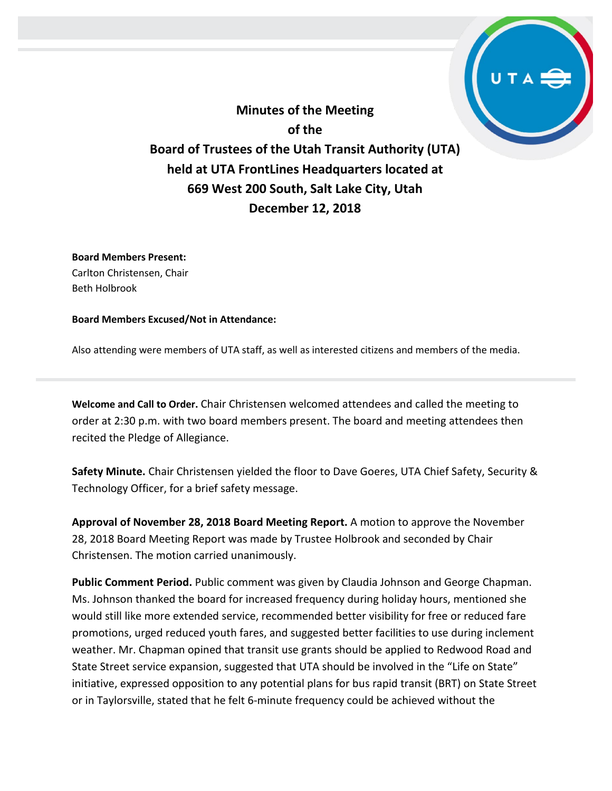**Minutes of the Meeting of the Board of Trustees of the Utah Transit Authority (UTA) held at UTA FrontLines Headquarters located at 669 West 200 South, Salt Lake City, Utah December 12, 2018**

**Board Members Present:** Carlton Christensen, Chair Beth Holbrook

**Board Members Excused/Not in Attendance:** 

Also attending were members of UTA staff, as well as interested citizens and members of the media.

**Welcome and Call to Order.** Chair Christensen welcomed attendees and called the meeting to order at 2:30 p.m. with two board members present. The board and meeting attendees then recited the Pledge of Allegiance.

**Safety Minute.** Chair Christensen yielded the floor to Dave Goeres, UTA Chief Safety, Security & Technology Officer, for a brief safety message.

**Approval of November 28, 2018 Board Meeting Report.** A motion to approve the November 28, 2018 Board Meeting Report was made by Trustee Holbrook and seconded by Chair Christensen. The motion carried unanimously.

**Public Comment Period.** Public comment was given by Claudia Johnson and George Chapman. Ms. Johnson thanked the board for increased frequency during holiday hours, mentioned she would still like more extended service, recommended better visibility for free or reduced fare promotions, urged reduced youth fares, and suggested better facilities to use during inclement weather. Mr. Chapman opined that transit use grants should be applied to Redwood Road and State Street service expansion, suggested that UTA should be involved in the "Life on State" initiative, expressed opposition to any potential plans for bus rapid transit (BRT) on State Street or in Taylorsville, stated that he felt 6-minute frequency could be achieved without the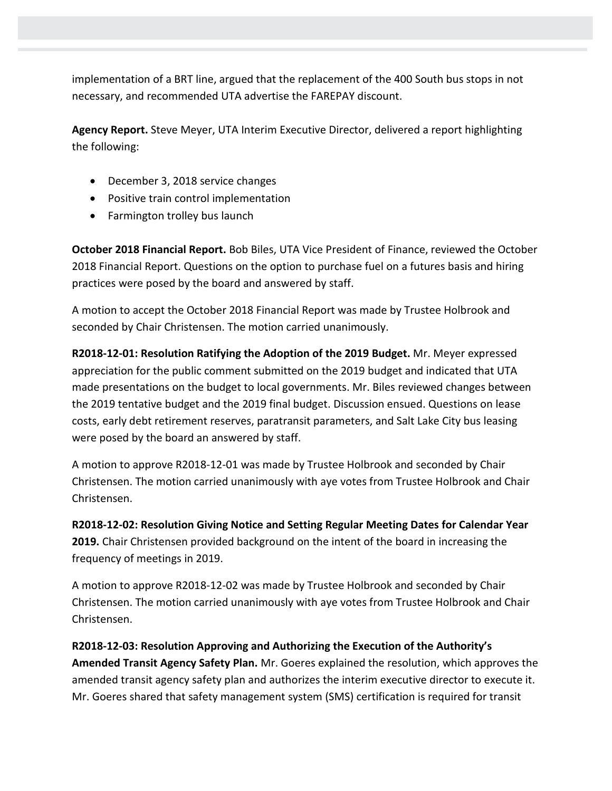implementation of a BRT line, argued that the replacement of the 400 South bus stops in not necessary, and recommended UTA advertise the FAREPAY discount.

**Agency Report.** Steve Meyer, UTA Interim Executive Director, delivered a report highlighting the following:

- December 3, 2018 service changes
- Positive train control implementation
- Farmington trolley bus launch

**October 2018 Financial Report.** Bob Biles, UTA Vice President of Finance, reviewed the October 2018 Financial Report. Questions on the option to purchase fuel on a futures basis and hiring practices were posed by the board and answered by staff.

A motion to accept the October 2018 Financial Report was made by Trustee Holbrook and seconded by Chair Christensen. The motion carried unanimously.

**R2018-12-01: Resolution Ratifying the Adoption of the 2019 Budget.** Mr. Meyer expressed appreciation for the public comment submitted on the 2019 budget and indicated that UTA made presentations on the budget to local governments. Mr. Biles reviewed changes between the 2019 tentative budget and the 2019 final budget. Discussion ensued. Questions on lease costs, early debt retirement reserves, paratransit parameters, and Salt Lake City bus leasing were posed by the board an answered by staff.

A motion to approve R2018-12-01 was made by Trustee Holbrook and seconded by Chair Christensen. The motion carried unanimously with aye votes from Trustee Holbrook and Chair Christensen.

**R2018-12-02: Resolution Giving Notice and Setting Regular Meeting Dates for Calendar Year 2019.** Chair Christensen provided background on the intent of the board in increasing the frequency of meetings in 2019.

A motion to approve R2018-12-02 was made by Trustee Holbrook and seconded by Chair Christensen. The motion carried unanimously with aye votes from Trustee Holbrook and Chair Christensen.

**R2018-12-03: Resolution Approving and Authorizing the Execution of the Authority's Amended Transit Agency Safety Plan.** Mr. Goeres explained the resolution, which approves the amended transit agency safety plan and authorizes the interim executive director to execute it. Mr. Goeres shared that safety management system (SMS) certification is required for transit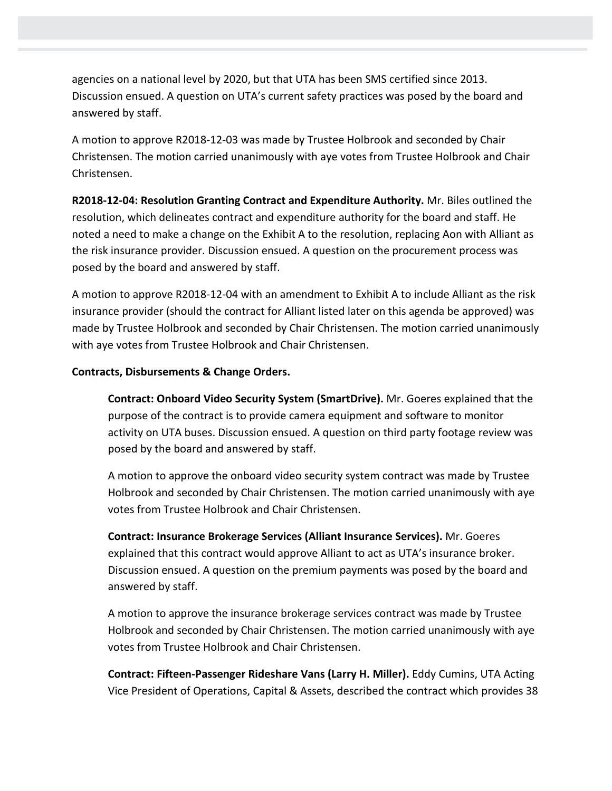agencies on a national level by 2020, but that UTA has been SMS certified since 2013. Discussion ensued. A question on UTA's current safety practices was posed by the board and answered by staff.

A motion to approve R2018-12-03 was made by Trustee Holbrook and seconded by Chair Christensen. The motion carried unanimously with aye votes from Trustee Holbrook and Chair Christensen.

**R2018-12-04: Resolution Granting Contract and Expenditure Authority.** Mr. Biles outlined the resolution, which delineates contract and expenditure authority for the board and staff. He noted a need to make a change on the Exhibit A to the resolution, replacing Aon with Alliant as the risk insurance provider. Discussion ensued. A question on the procurement process was posed by the board and answered by staff.

A motion to approve R2018-12-04 with an amendment to Exhibit A to include Alliant as the risk insurance provider (should the contract for Alliant listed later on this agenda be approved) was made by Trustee Holbrook and seconded by Chair Christensen. The motion carried unanimously with aye votes from Trustee Holbrook and Chair Christensen.

## **Contracts, Disbursements & Change Orders.**

**Contract: Onboard Video Security System (SmartDrive).** Mr. Goeres explained that the purpose of the contract is to provide camera equipment and software to monitor activity on UTA buses. Discussion ensued. A question on third party footage review was posed by the board and answered by staff.

A motion to approve the onboard video security system contract was made by Trustee Holbrook and seconded by Chair Christensen. The motion carried unanimously with aye votes from Trustee Holbrook and Chair Christensen.

**Contract: Insurance Brokerage Services (Alliant Insurance Services).** Mr. Goeres explained that this contract would approve Alliant to act as UTA's insurance broker. Discussion ensued. A question on the premium payments was posed by the board and answered by staff.

A motion to approve the insurance brokerage services contract was made by Trustee Holbrook and seconded by Chair Christensen. The motion carried unanimously with aye votes from Trustee Holbrook and Chair Christensen.

**Contract: Fifteen-Passenger Rideshare Vans (Larry H. Miller).** Eddy Cumins, UTA Acting Vice President of Operations, Capital & Assets, described the contract which provides 38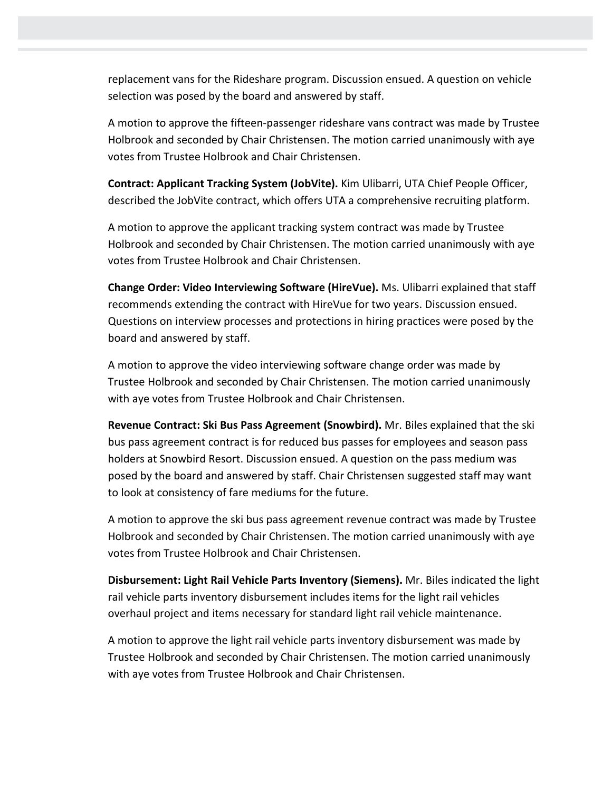replacement vans for the Rideshare program. Discussion ensued. A question on vehicle selection was posed by the board and answered by staff.

A motion to approve the fifteen-passenger rideshare vans contract was made by Trustee Holbrook and seconded by Chair Christensen. The motion carried unanimously with aye votes from Trustee Holbrook and Chair Christensen.

**Contract: Applicant Tracking System (JobVite).** Kim Ulibarri, UTA Chief People Officer, described the JobVite contract, which offers UTA a comprehensive recruiting platform.

A motion to approve the applicant tracking system contract was made by Trustee Holbrook and seconded by Chair Christensen. The motion carried unanimously with aye votes from Trustee Holbrook and Chair Christensen.

**Change Order: Video Interviewing Software (HireVue).** Ms. Ulibarri explained that staff recommends extending the contract with HireVue for two years. Discussion ensued. Questions on interview processes and protections in hiring practices were posed by the board and answered by staff.

A motion to approve the video interviewing software change order was made by Trustee Holbrook and seconded by Chair Christensen. The motion carried unanimously with aye votes from Trustee Holbrook and Chair Christensen.

**Revenue Contract: Ski Bus Pass Agreement (Snowbird).** Mr. Biles explained that the ski bus pass agreement contract is for reduced bus passes for employees and season pass holders at Snowbird Resort. Discussion ensued. A question on the pass medium was posed by the board and answered by staff. Chair Christensen suggested staff may want to look at consistency of fare mediums for the future.

A motion to approve the ski bus pass agreement revenue contract was made by Trustee Holbrook and seconded by Chair Christensen. The motion carried unanimously with aye votes from Trustee Holbrook and Chair Christensen.

**Disbursement: Light Rail Vehicle Parts Inventory (Siemens).** Mr. Biles indicated the light rail vehicle parts inventory disbursement includes items for the light rail vehicles overhaul project and items necessary for standard light rail vehicle maintenance.

A motion to approve the light rail vehicle parts inventory disbursement was made by Trustee Holbrook and seconded by Chair Christensen. The motion carried unanimously with aye votes from Trustee Holbrook and Chair Christensen.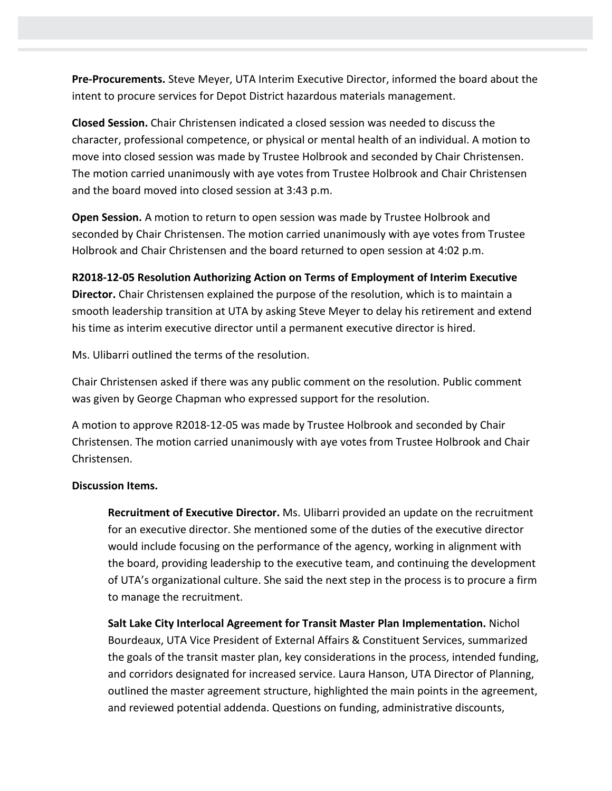**Pre-Procurements.** Steve Meyer, UTA Interim Executive Director, informed the board about the intent to procure services for Depot District hazardous materials management.

**Closed Session.** Chair Christensen indicated a closed session was needed to discuss the character, professional competence, or physical or mental health of an individual. A motion to move into closed session was made by Trustee Holbrook and seconded by Chair Christensen. The motion carried unanimously with aye votes from Trustee Holbrook and Chair Christensen and the board moved into closed session at 3:43 p.m.

**Open Session.** A motion to return to open session was made by Trustee Holbrook and seconded by Chair Christensen. The motion carried unanimously with aye votes from Trustee Holbrook and Chair Christensen and the board returned to open session at 4:02 p.m.

**R2018-12-05 Resolution Authorizing Action on Terms of Employment of Interim Executive Director.** Chair Christensen explained the purpose of the resolution, which is to maintain a smooth leadership transition at UTA by asking Steve Meyer to delay his retirement and extend his time as interim executive director until a permanent executive director is hired.

Ms. Ulibarri outlined the terms of the resolution.

Chair Christensen asked if there was any public comment on the resolution. Public comment was given by George Chapman who expressed support for the resolution.

A motion to approve R2018-12-05 was made by Trustee Holbrook and seconded by Chair Christensen. The motion carried unanimously with aye votes from Trustee Holbrook and Chair Christensen.

## **Discussion Items.**

**Recruitment of Executive Director.** Ms. Ulibarri provided an update on the recruitment for an executive director. She mentioned some of the duties of the executive director would include focusing on the performance of the agency, working in alignment with the board, providing leadership to the executive team, and continuing the development of UTA's organizational culture. She said the next step in the process is to procure a firm to manage the recruitment.

**Salt Lake City Interlocal Agreement for Transit Master Plan Implementation.** Nichol Bourdeaux, UTA Vice President of External Affairs & Constituent Services, summarized the goals of the transit master plan, key considerations in the process, intended funding, and corridors designated for increased service. Laura Hanson, UTA Director of Planning, outlined the master agreement structure, highlighted the main points in the agreement, and reviewed potential addenda. Questions on funding, administrative discounts,